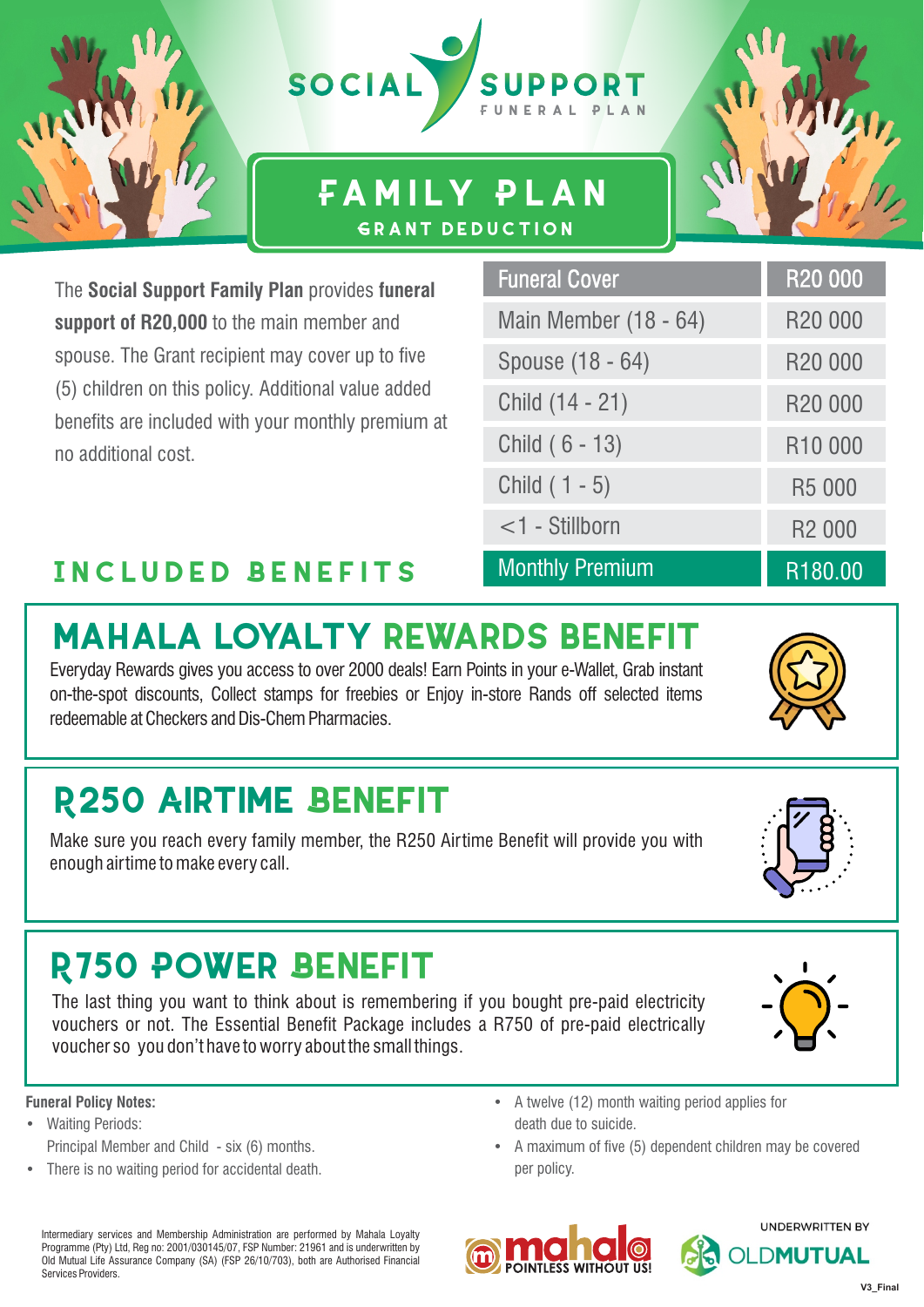

### **Family Plan Grant deduction**

The **Social Support Family Plan** provides **funeral support of R20,000** to the main member and spouse. The Grant recipient may cover up to five (5) children on this policy. Additional value added benefits are included with your monthly premium at no additional cost.

| <b>Funeral Cover</b>   | R <sub>20</sub> 000 |
|------------------------|---------------------|
| Main Member (18 - 64)  | R <sub>20</sub> 000 |
| Spouse (18 - 64)       | R <sub>20</sub> 000 |
| Child (14 - 21)        | R20 000             |
| Child (6 - 13)         | R <sub>10</sub> 000 |
| Child $(1 - 5)$        | R5 000              |
| $<$ 1 - Stillborn      | R <sub>2</sub> 000  |
| <b>Monthly Premium</b> | R <sub>180</sub> 00 |

### **Included Benefits**

# **MAHALA LOYALTY REWARDS BENEFIT**

Everyday Rewards gives you access to over 2000 deals! Earn Points in your e-Wallet, Grab instant on-the-spot discounts, Collect stamps for freebies or Enjoy in-store Rands off selected items redeemable at Checkers and Dis-Chem Pharmacies.

## **R250 AIRTIME BENEFIT**

Make sure you reach every family member, the R250 Airtime Benefit will provide you with enough airtime to make every call.

## **R750 POWER BENEFIT**

The last thing you want to think about is remembering if you bought pre-paid electricity vouchers or not. The Essential Benefit Package includes a R750 of pre-paid electrically voucher so you don't have to worry about the small things.

#### **Funeral Policy Notes:**

- Waiting Periods: Principal Member and Child - six (6) months.
- There is no waiting period for accidental death.
- A twelve (12) month waiting period applies for death due to suicide.
- A maximum of five (5) dependent children may be covered per policy.









R180.00

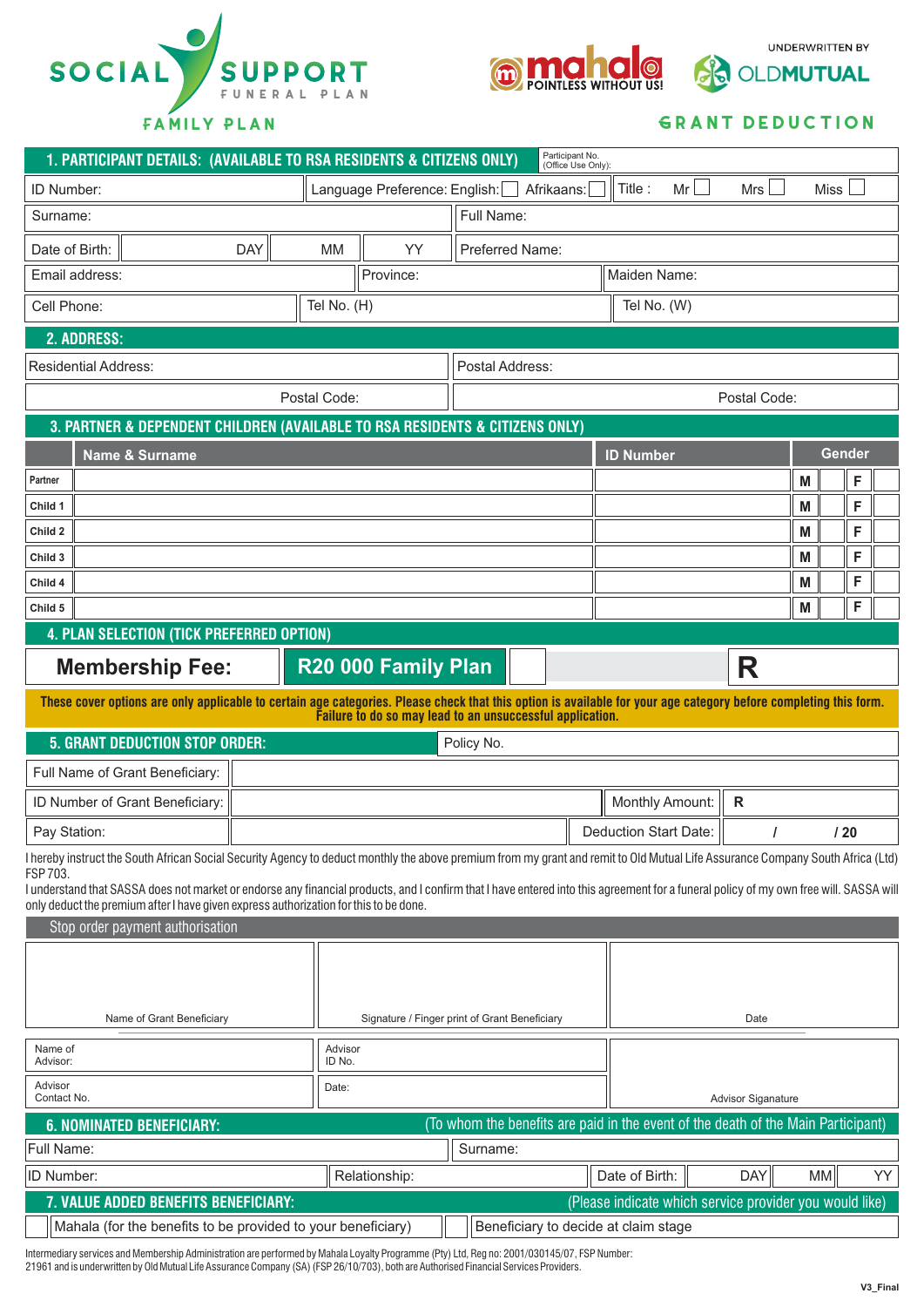



**UNDERWRITTEN BY** 

**OLDMUTUAL** 

#### **Grant deduction**

| 1. PARTICIPANT DETAILS: (AVAILABLE TO RSA RESIDENTS & CITIZENS ONLY)                                                                                                                       |                                               | Participant No.<br>(Office Use Only):                     |                                     |                           |                 |  |  |
|--------------------------------------------------------------------------------------------------------------------------------------------------------------------------------------------|-----------------------------------------------|-----------------------------------------------------------|-------------------------------------|---------------------------|-----------------|--|--|
| ID Number:                                                                                                                                                                                 | Language Preference: English:                 | Afrikaans:                                                | Mr<br>Title:                        | Mrs                       | <b>Miss</b>     |  |  |
| Surname:                                                                                                                                                                                   |                                               | Full Name:                                                |                                     |                           |                 |  |  |
| <b>DAY</b><br>Date of Birth:                                                                                                                                                               | <b>MM</b><br>YY                               | Preferred Name:                                           |                                     |                           |                 |  |  |
| Email address:                                                                                                                                                                             | Province:                                     |                                                           | Maiden Name:                        |                           |                 |  |  |
| Cell Phone:                                                                                                                                                                                | Tel No. (H)                                   |                                                           | Tel No. (W)                         |                           |                 |  |  |
| 2. ADDRESS:                                                                                                                                                                                |                                               |                                                           |                                     |                           |                 |  |  |
| <b>Residential Address:</b>                                                                                                                                                                |                                               | Postal Address:                                           |                                     |                           |                 |  |  |
|                                                                                                                                                                                            | Postal Code:                                  | Postal Code:                                              |                                     |                           |                 |  |  |
| 3. PARTNER & DEPENDENT CHILDREN (AVAILABLE TO RSA RESIDENTS & CITIZENS ONLY)                                                                                                               |                                               |                                                           |                                     |                           |                 |  |  |
| <b>Name &amp; Surname</b>                                                                                                                                                                  |                                               |                                                           | <b>ID Number</b>                    |                           | Gender          |  |  |
| Partner                                                                                                                                                                                    |                                               |                                                           |                                     | M                         | F               |  |  |
| Child 1                                                                                                                                                                                    |                                               |                                                           |                                     | M                         | F               |  |  |
| Child 2                                                                                                                                                                                    |                                               |                                                           |                                     | M                         | F               |  |  |
| Child 3                                                                                                                                                                                    |                                               |                                                           | M                                   | F                         |                 |  |  |
| Child 4                                                                                                                                                                                    |                                               |                                                           |                                     | M                         | F               |  |  |
| Child 5                                                                                                                                                                                    |                                               | M                                                         | F                                   |                           |                 |  |  |
| 4. PLAN SELECTION (TICK PREFERRED OPTION)                                                                                                                                                  |                                               |                                                           |                                     |                           |                 |  |  |
| R<br>R20 000 Family Plan<br><b>Membership Fee:</b>                                                                                                                                         |                                               |                                                           |                                     |                           |                 |  |  |
| These cover options are only applicable to certain age categories. Please check that this option is available for your age category before completing this form.                           |                                               | Failure to do so may lead to an unsuccessful application. |                                     |                           |                 |  |  |
| <b>5. GRANT DEDUCTION STOP ORDER:</b><br>Policy No.                                                                                                                                        |                                               |                                                           |                                     |                           |                 |  |  |
| Full Name of Grant Beneficiary:                                                                                                                                                            |                                               |                                                           |                                     |                           |                 |  |  |
| ID Number of Grant Beneficiary:                                                                                                                                                            |                                               | Monthly Amount:<br>$\mathsf{R}$                           |                                     |                           |                 |  |  |
| Pay Station:                                                                                                                                                                               |                                               |                                                           | <b>Deduction Start Date:</b><br>120 |                           |                 |  |  |
| I hereby instruct the South African Social Security Agency to deduct monthly the above premium from my grant and remit to Old Mutual Life Assurance Company South Africa (Ltd)<br>FSP 703. |                                               |                                                           |                                     |                           |                 |  |  |
| I understand that SASSA does not market or endorse any financial products, and I confirm that I have entered into this agreement for a funeral policy of my own free will. SASSA will      |                                               |                                                           |                                     |                           |                 |  |  |
| only deduct the premium after I have given express authorization for this to be done.<br>Stop order payment authorisation                                                                  |                                               |                                                           |                                     |                           |                 |  |  |
|                                                                                                                                                                                            |                                               |                                                           |                                     |                           |                 |  |  |
|                                                                                                                                                                                            |                                               |                                                           |                                     |                           |                 |  |  |
|                                                                                                                                                                                            |                                               |                                                           |                                     |                           |                 |  |  |
| Name of Grant Beneficiary                                                                                                                                                                  | Signature / Finger print of Grant Beneficiary |                                                           | Date                                |                           |                 |  |  |
| Name of<br>Advisor:                                                                                                                                                                        | Advisor<br>ID No.                             |                                                           |                                     |                           |                 |  |  |
| Advisor<br>Contact No.                                                                                                                                                                     | Date:                                         |                                                           |                                     | <b>Advisor Siganature</b> |                 |  |  |
| (To whom the benefits are paid in the event of the death of the Main Participant)<br><b>6. NOMINATED BENEFICIARY:</b>                                                                      |                                               |                                                           |                                     |                           |                 |  |  |
| Full Name:<br>Surname:                                                                                                                                                                     |                                               |                                                           |                                     |                           |                 |  |  |
| ID Number:                                                                                                                                                                                 | Relationship:                                 |                                                           | Date of Birth:                      | <b>DAY</b>                | MM<br><b>YY</b> |  |  |
| (Please indicate which service provider you would like)<br>7. VALUE ADDED BENEFITS BENEFICIARY:                                                                                            |                                               |                                                           |                                     |                           |                 |  |  |
| Mahala (for the benefits to be provided to your beneficiary)<br>Beneficiary to decide at claim stage                                                                                       |                                               |                                                           |                                     |                           |                 |  |  |

Intermediary services and Membership Administration are performed by Mahala Loyalty Programme (Pty) Ltd, Reg no: 2001/030145/07, FSP Number: 21961 and is underwritten by Old Mutual Life Assurance Company (SA) (FSP 26/10/703), both are Authorised Financial Services Providers.